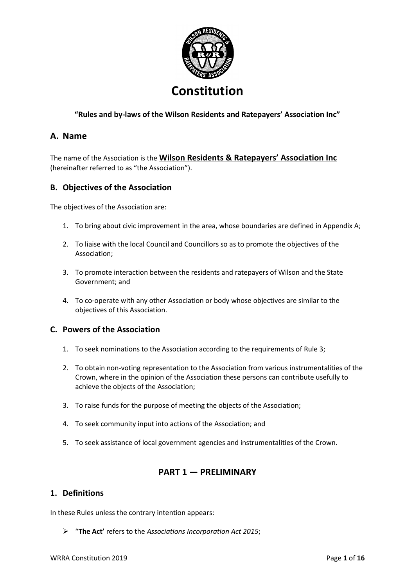

# **"Rules and by-laws of the Wilson Residents and Ratepayers' Association Inc"**

# **A. Name**

The name of the Association is the **Wilson Residents & Ratepayers' Association Inc** (hereinafter referred to as "the Association").

# **B. Objectives of the Association**

The objectives of the Association are:

- 1. To bring about civic improvement in the area, whose boundaries are defined in Appendix A;
- 2. To liaise with the local Council and Councillors so as to promote the objectives of the Association;
- 3. To promote interaction between the residents and ratepayers of Wilson and the State Government; and
- 4. To co-operate with any other Association or body whose objectives are similar to the objectives of this Association.

## **C. Powers of the Association**

- 1. To seek nominations to the Association according to the requirements of Rule 3;
- 2. To obtain non-voting representation to the Association from various instrumentalities of the Crown, where in the opinion of the Association these persons can contribute usefully to achieve the objects of the Association;
- 3. To raise funds for the purpose of meeting the objects of the Association;
- 4. To seek community input into actions of the Association; and
- 5. To seek assistance of local government agencies and instrumentalities of the Crown.

# **PART 1 — PRELIMINARY**

## **1. Definitions**

In these Rules unless the contrary intention appears:

➢ "**The Act'** refers to the *Associations Incorporation Act 2015*;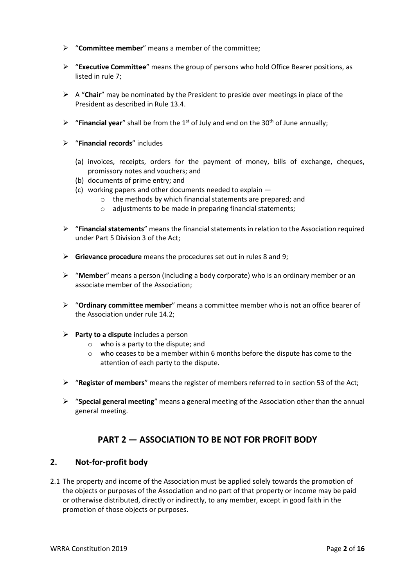- ➢ "**Committee member**" means a member of the committee;
- ➢ "**Executive Committee**" means the group of persons who hold Office Bearer positions, as listed in rule 7;
- ➢ A "**Chair**" may be nominated by the President to preside over meetings in place of the President as described in Rule 13.4.
- $\triangleright$  "**Financial year**" shall be from the 1<sup>st</sup> of July and end on the 30<sup>th</sup> of June annually;
- ➢ "**Financial records**" includes
	- (a) invoices, receipts, orders for the payment of money, bills of exchange, cheques, promissory notes and vouchers; and
	- (b) documents of prime entry; and
	- (c) working papers and other documents needed to explain
		- o the methods by which financial statements are prepared; and
		- o adjustments to be made in preparing financial statements;
- ➢ "**Financial statements**" means the financial statements in relation to the Association required under Part 5 Division 3 of the Act;
- ➢ **Grievance procedure** means the procedures set out in rules 8 and 9;
- ➢ "**Member**" means a person (including a body corporate) who is an ordinary member or an associate member of the Association;
- ➢ "**Ordinary committee member**" means a committee member who is not an office bearer of the Association under rule 14.2;
- ➢ **Party to a dispute** includes a person
	- o who is a party to the dispute; and
	- o who ceases to be a member within 6 months before the dispute has come to the attention of each party to the dispute.
- ➢ "**Register of members**" means the register of members referred to in section 53 of the Act;
- ➢ "**Special general meeting**" means a general meeting of the Association other than the annual general meeting.

# **PART 2 — ASSOCIATION TO BE NOT FOR PROFIT BODY**

## **2. Not-for-profit body**

2.1 The property and income of the Association must be applied solely towards the promotion of the objects or purposes of the Association and no part of that property or income may be paid or otherwise distributed, directly or indirectly, to any member, except in good faith in the promotion of those objects or purposes.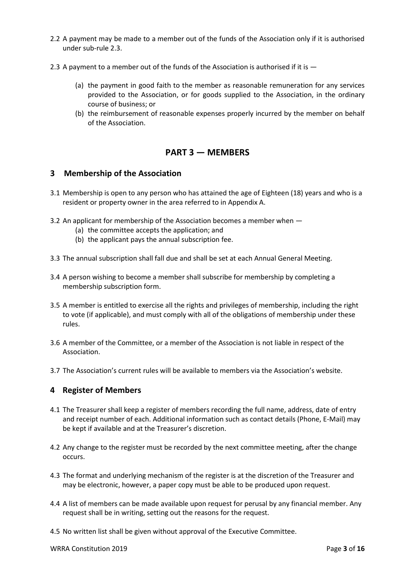- 2.2 A payment may be made to a member out of the funds of the Association only if it is authorised under sub-rule 2.3.
- 2.3 A payment to a member out of the funds of the Association is authorised if it is  $-$ 
	- (a) the payment in good faith to the member as reasonable remuneration for any services provided to the Association, or for goods supplied to the Association, in the ordinary course of business; or
	- (b) the reimbursement of reasonable expenses properly incurred by the member on behalf of the Association.

# **PART 3 — MEMBERS**

#### **3 Membership of the Association**

- 3.1 Membership is open to any person who has attained the age of Eighteen (18) years and who is a resident or property owner in the area referred to in Appendix A.
- 3.2 An applicant for membership of the Association becomes a member when
	- (a) the committee accepts the application; and
	- (b) the applicant pays the annual subscription fee.
- 3.3 The annual subscription shall fall due and shall be set at each Annual General Meeting.
- 3.4 A person wishing to become a member shall subscribe for membership by completing a membership subscription form.
- 3.5 A member is entitled to exercise all the rights and privileges of membership, including the right to vote (if applicable), and must comply with all of the obligations of membership under these rules.
- 3.6 A member of the Committee, or a member of the Association is not liable in respect of the Association.
- 3.7 The Association's current rules will be available to members via the Association's website.

## **4 Register of Members**

- 4.1 The Treasurer shall keep a register of members recording the full name, address, date of entry and receipt number of each. Additional information such as contact details (Phone, E-Mail) may be kept if available and at the Treasurer's discretion.
- 4.2 Any change to the register must be recorded by the next committee meeting, after the change occurs.
- 4.3 The format and underlying mechanism of the register is at the discretion of the Treasurer and may be electronic, however, a paper copy must be able to be produced upon request.
- 4.4 A list of members can be made available upon request for perusal by any financial member. Any request shall be in writing, setting out the reasons for the request.
- 4.5 No written list shall be given without approval of the Executive Committee.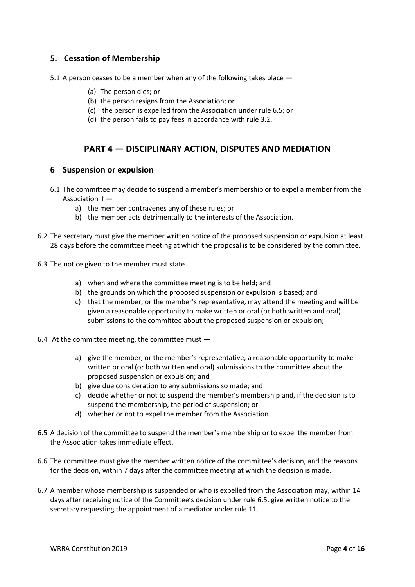# **5. Cessation of Membership**

- 5.1 A person ceases to be a member when any of the following takes place  $-$ 
	- (a) The person dies; or
	- (b) the person resigns from the Association; or
	- (c) the person is expelled from the Association under rule 6.5; or
	- (d) the person fails to pay fees in accordance with rule 3.2.

# **PART 4 — DISCIPLINARY ACTION, DISPUTES AND MEDIATION**

#### **6 Suspension or expulsion**

- 6.1 The committee may decide to suspend a member's membership or to expel a member from the Association if
	- a) the member contravenes any of these rules; or
	- b) the member acts detrimentally to the interests of the Association.
- 6.2 The secretary must give the member written notice of the proposed suspension or expulsion at least 28 days before the committee meeting at which the proposal is to be considered by the committee.
- 6.3 The notice given to the member must state
	- a) when and where the committee meeting is to be held; and
	- b) the grounds on which the proposed suspension or expulsion is based; and
	- c) that the member, or the member's representative, may attend the meeting and will be given a reasonable opportunity to make written or oral (or both written and oral) submissions to the committee about the proposed suspension or expulsion;
- 6.4 At the committee meeting, the committee must
	- a) give the member, or the member's representative, a reasonable opportunity to make written or oral (or both written and oral) submissions to the committee about the proposed suspension or expulsion; and
	- b) give due consideration to any submissions so made; and
	- c) decide whether or not to suspend the member's membership and, if the decision is to suspend the membership, the period of suspension; or
	- d) whether or not to expel the member from the Association.
- 6.5 A decision of the committee to suspend the member's membership or to expel the member from the Association takes immediate effect.
- 6.6 The committee must give the member written notice of the committee's decision, and the reasons for the decision, within 7 days after the committee meeting at which the decision is made.
- 6.7 A member whose membership is suspended or who is expelled from the Association may, within 14 days after receiving notice of the Committee's decision under rule 6.5, give written notice to the secretary requesting the appointment of a mediator under rule 11.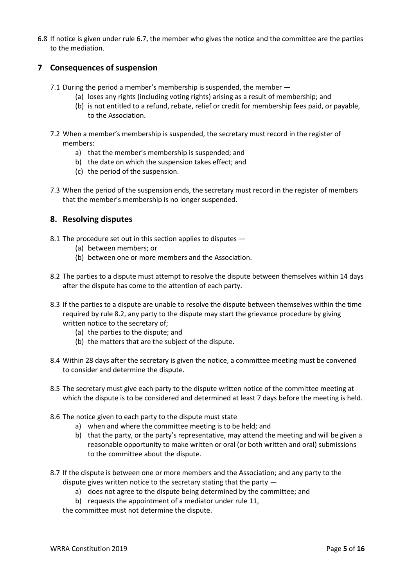6.8 If notice is given under rule 6.7, the member who gives the notice and the committee are the parties to the mediation.

# **7 Consequences of suspension**

- 7.1 During the period a member's membership is suspended, the member -
	- (a) loses any rights (including voting rights) arising as a result of membership; and
	- (b) is not entitled to a refund, rebate, relief or credit for membership fees paid, or payable, to the Association.
- 7.2 When a member's membership is suspended, the secretary must record in the register of members:
	- a) that the member's membership is suspended; and
	- b) the date on which the suspension takes effect; and
	- (c) the period of the suspension.
- 7.3 When the period of the suspension ends, the secretary must record in the register of members that the member's membership is no longer suspended.

# **8. Resolving disputes**

- 8.1 The procedure set out in this section applies to disputes
	- (a) between members; or
	- (b) between one or more members and the Association.
- 8.2 The parties to a dispute must attempt to resolve the dispute between themselves within 14 days after the dispute has come to the attention of each party.
- 8.3 If the parties to a dispute are unable to resolve the dispute between themselves within the time required by rule 8.2, any party to the dispute may start the grievance procedure by giving written notice to the secretary of;
	- (a) the parties to the dispute; and
	- (b) the matters that are the subject of the dispute.
- 8.4 Within 28 days after the secretary is given the notice, a committee meeting must be convened to consider and determine the dispute.
- 8.5 The secretary must give each party to the dispute written notice of the committee meeting at which the dispute is to be considered and determined at least 7 days before the meeting is held.
- 8.6 The notice given to each party to the dispute must state
	- a) when and where the committee meeting is to be held; and
	- b) that the party, or the party's representative, may attend the meeting and will be given a reasonable opportunity to make written or oral (or both written and oral) submissions to the committee about the dispute.
- 8.7 If the dispute is between one or more members and the Association; and any party to the dispute gives written notice to the secretary stating that the party
	- a) does not agree to the dispute being determined by the committee; and
	- b) requests the appointment of a mediator under rule 11,

the committee must not determine the dispute.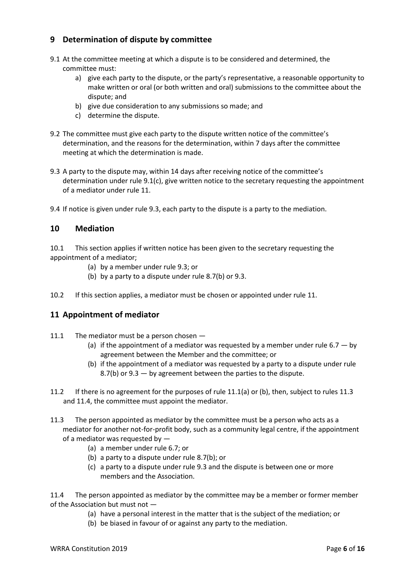# **9 Determination of dispute by committee**

- 9.1 At the committee meeting at which a dispute is to be considered and determined, the committee must:
	- a) give each party to the dispute, or the party's representative, a reasonable opportunity to make written or oral (or both written and oral) submissions to the committee about the dispute; and
	- b) give due consideration to any submissions so made; and
	- c) determine the dispute.
- 9.2 The committee must give each party to the dispute written notice of the committee's determination, and the reasons for the determination, within 7 days after the committee meeting at which the determination is made.
- 9.3 A party to the dispute may, within 14 days after receiving notice of the committee's determination under rule 9.1(c), give written notice to the secretary requesting the appointment of a mediator under rule 11.
- 9.4 If notice is given under rule 9.3, each party to the dispute is a party to the mediation.

## **10 Mediation**

10.1 This section applies if written notice has been given to the secretary requesting the appointment of a mediator;

- (a) by a member under rule 9.3; or
- (b) by a party to a dispute under rule 8.7(b) or 9.3.

10.2 If this section applies, a mediator must be chosen or appointed under rule 11.

# **11 Appointment of mediator**

- 11.1 The mediator must be a person chosen -
	- (a) if the appointment of a mediator was requested by a member under rule 6.7  $-$  by agreement between the Member and the committee; or
	- (b) if the appointment of a mediator was requested by a party to a dispute under rule 8.7(b) or 9.3 — by agreement between the parties to the dispute.
- 11.2 If there is no agreement for the purposes of rule 11.1(a) or (b), then, subject to rules 11.3 and 11.4, the committee must appoint the mediator.
- 11.3 The person appointed as mediator by the committee must be a person who acts as a mediator for another not-for-profit body, such as a community legal centre, if the appointment of a mediator was requested by —
	- (a) a member under rule 6.7; or
	- (b) a party to a dispute under rule 8.7(b); or
	- (c) a party to a dispute under rule 9.3 and the dispute is between one or more members and the Association.

11.4 The person appointed as mediator by the committee may be a member or former member of the Association but must not —

- (a) have a personal interest in the matter that is the subject of the mediation; or
- (b) be biased in favour of or against any party to the mediation.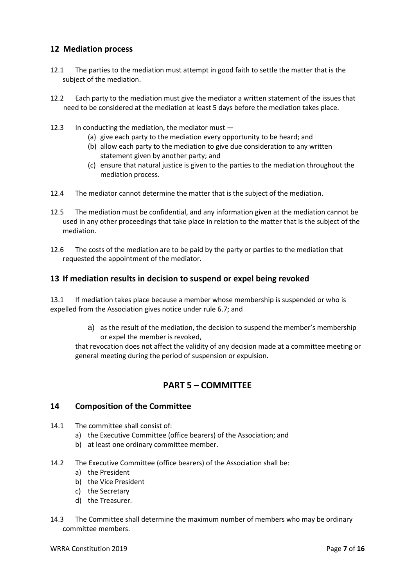# **12 Mediation process**

- 12.1 The parties to the mediation must attempt in good faith to settle the matter that is the subject of the mediation.
- 12.2 Each party to the mediation must give the mediator a written statement of the issues that need to be considered at the mediation at least 5 days before the mediation takes place.
- 12.3 In conducting the mediation, the mediator must
	- (a) give each party to the mediation every opportunity to be heard; and
	- (b) allow each party to the mediation to give due consideration to any written statement given by another party; and
	- (c) ensure that natural justice is given to the parties to the mediation throughout the mediation process.
- 12.4 The mediator cannot determine the matter that is the subject of the mediation.
- 12.5 The mediation must be confidential, and any information given at the mediation cannot be used in any other proceedings that take place in relation to the matter that is the subject of the mediation.
- 12.6 The costs of the mediation are to be paid by the party or parties to the mediation that requested the appointment of the mediator.

#### **13 If mediation results in decision to suspend or expel being revoked**

13.1 If mediation takes place because a member whose membership is suspended or who is expelled from the Association gives notice under rule 6.7; and

> a) as the result of the mediation, the decision to suspend the member's membership or expel the member is revoked,

that revocation does not affect the validity of any decision made at a committee meeting or general meeting during the period of suspension or expulsion.

# **PART 5 – COMMITTEE**

#### **14 Composition of the Committee**

- 14.1 The committee shall consist of:
	- a) the Executive Committee (office bearers) of the Association; and
	- b) at least one ordinary committee member.
- 14.2 The Executive Committee (office bearers) of the Association shall be:
	- a) the President
	- b) the Vice President
	- c) the Secretary
	- d) the Treasurer.
- 14.3 The Committee shall determine the maximum number of members who may be ordinary committee members.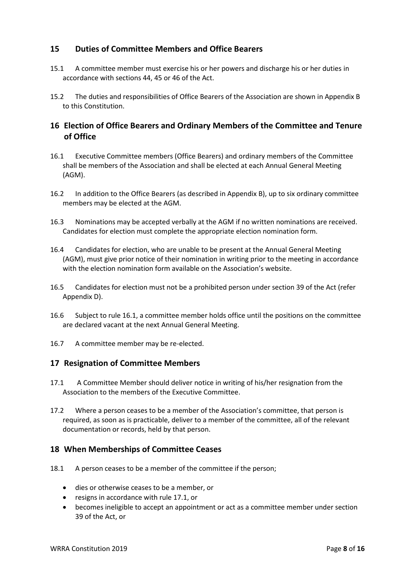# **15 Duties of Committee Members and Office Bearers**

- 15.1 A committee member must exercise his or her powers and discharge his or her duties in accordance with sections 44, 45 or 46 of the Act.
- 15.2 The duties and responsibilities of Office Bearers of the Association are shown in Appendix B to this Constitution.

# **16 Election of Office Bearers and Ordinary Members of the Committee and Tenure of Office**

- 16.1 Executive Committee members (Office Bearers) and ordinary members of the Committee shall be members of the Association and shall be elected at each Annual General Meeting (AGM).
- 16.2 In addition to the Office Bearers (as described in Appendix B), up to six ordinary committee members may be elected at the AGM.
- 16.3 Nominations may be accepted verbally at the AGM if no written nominations are received. Candidates for election must complete the appropriate election nomination form.
- 16.4 Candidates for election, who are unable to be present at the Annual General Meeting (AGM), must give prior notice of their nomination in writing prior to the meeting in accordance with the election nomination form available on the Association's website.
- 16.5 Candidates for election must not be a prohibited person under section 39 of the Act (refer Appendix D).
- 16.6 Subject to rule 16.1, a committee member holds office until the positions on the committee are declared vacant at the next Annual General Meeting.
- 16.7 A committee member may be re-elected.

## **17 Resignation of Committee Members**

- 17.1 A Committee Member should deliver notice in writing of his/her resignation from the Association to the members of the Executive Committee.
- 17.2 Where a person ceases to be a member of the Association's committee, that person is required, as soon as is practicable, deliver to a member of the committee, all of the relevant documentation or records, held by that person.

## **18 When Memberships of Committee Ceases**

- 18.1 A person ceases to be a member of the committee if the person;
	- dies or otherwise ceases to be a member, or
	- resigns in accordance with rule 17.1, or
	- becomes ineligible to accept an appointment or act as a committee member under section 39 of the Act, or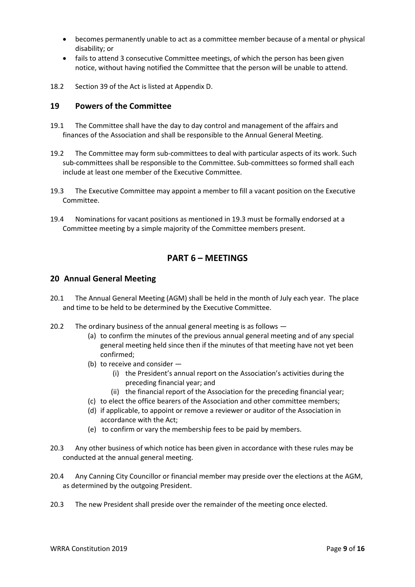- becomes permanently unable to act as a committee member because of a mental or physical disability; or
- fails to attend 3 consecutive Committee meetings, of which the person has been given notice, without having notified the Committee that the person will be unable to attend.
- 18.2 Section 39 of the Act is listed at Appendix D.

## **19 Powers of the Committee**

- 19.1 The Committee shall have the day to day control and management of the affairs and finances of the Association and shall be responsible to the Annual General Meeting.
- 19.2 The Committee may form sub-committees to deal with particular aspects of its work. Such sub-committees shall be responsible to the Committee. Sub-committees so formed shall each include at least one member of the Executive Committee.
- 19.3 The Executive Committee may appoint a member to fill a vacant position on the Executive Committee.
- 19.4 Nominations for vacant positions as mentioned in 19.3 must be formally endorsed at a Committee meeting by a simple majority of the Committee members present.

# **PART 6 – MEETINGS**

## **20 Annual General Meeting**

- 20.1 The Annual General Meeting (AGM) shall be held in the month of July each year. The place and time to be held to be determined by the Executive Committee.
- 20.2 The ordinary business of the annual general meeting is as follows
	- (a) to confirm the minutes of the previous annual general meeting and of any special general meeting held since then if the minutes of that meeting have not yet been confirmed;
	- (b) to receive and consider
		- (i) the President's annual report on the Association's activities during the preceding financial year; and
		- (ii) the financial report of the Association for the preceding financial year;
	- (c) to elect the office bearers of the Association and other committee members;
	- (d) if applicable, to appoint or remove a reviewer or auditor of the Association in accordance with the Act;
	- (e) to confirm or vary the membership fees to be paid by members.
- 20.3 Any other business of which notice has been given in accordance with these rules may be conducted at the annual general meeting.
- 20.4 Any Canning City Councillor or financial member may preside over the elections at the AGM, as determined by the outgoing President.
- 20.3 The new President shall preside over the remainder of the meeting once elected.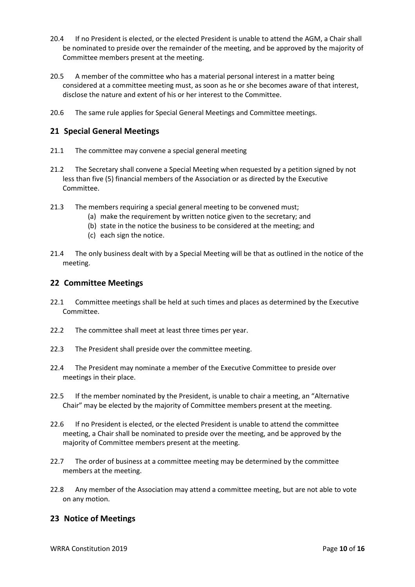- 20.4 If no President is elected, or the elected President is unable to attend the AGM, a Chair shall be nominated to preside over the remainder of the meeting, and be approved by the majority of Committee members present at the meeting.
- 20.5 A member of the committee who has a material personal interest in a matter being considered at a committee meeting must, as soon as he or she becomes aware of that interest, disclose the nature and extent of his or her interest to the Committee.
- 20.6 The same rule applies for Special General Meetings and Committee meetings.

# **21 Special General Meetings**

- 21.1 The committee may convene a special general meeting
- 21.2 The Secretary shall convene a Special Meeting when requested by a petition signed by not less than five (5) financial members of the Association or as directed by the Executive Committee.
- 21.3 The members requiring a special general meeting to be convened must;
	- (a) make the requirement by written notice given to the secretary; and
		- (b) state in the notice the business to be considered at the meeting; and
		- (c) each sign the notice.
- 21.4 The only business dealt with by a Special Meeting will be that as outlined in the notice of the meeting.

## **22 Committee Meetings**

- 22.1 Committee meetings shall be held at such times and places as determined by the Executive Committee.
- 22.2 The committee shall meet at least three times per year.
- 22.3 The President shall preside over the committee meeting.
- 22.4 The President may nominate a member of the Executive Committee to preside over meetings in their place.
- 22.5 If the member nominated by the President, is unable to chair a meeting, an "Alternative Chair" may be elected by the majority of Committee members present at the meeting.
- 22.6 If no President is elected, or the elected President is unable to attend the committee meeting, a Chair shall be nominated to preside over the meeting, and be approved by the majority of Committee members present at the meeting.
- 22.7 The order of business at a committee meeting may be determined by the committee members at the meeting.
- 22.8 Any member of the Association may attend a committee meeting, but are not able to vote on any motion.

# **23 Notice of Meetings**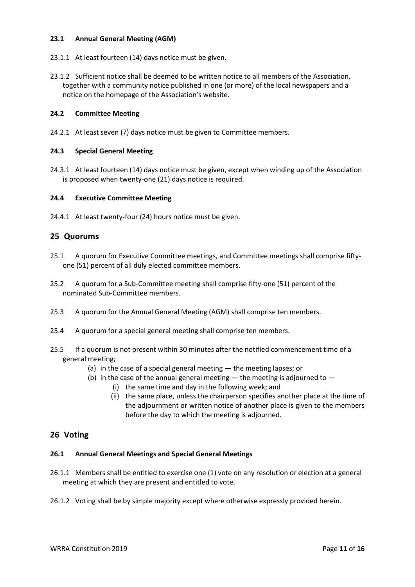#### **23.1 Annual General Meeting (AGM)**

- 23.1.1 At least fourteen (14) days notice must be given.
- 23.1.2 Sufficient notice shall be deemed to be written notice to all members of the Association, together with a community notice published in one (or more) of the local newspapers and a notice on the homepage of the Association's website.

#### **24.2 Committee Meeting**

24.2.1 At least seven (7) days notice must be given to Committee members.

#### **24.3 Special General Meeting**

24.3.1 At least fourteen (14) days notice must be given, except when winding up of the Association is proposed when twenty-one (21) days notice is required.

#### **24.4 Executive Committee Meeting**

24.4.1 At least twenty-four (24) hours notice must be given.

## **25 Quorums**

- 25.1 A quorum for Executive Committee meetings, and Committee meetings shall comprise fiftyone (51) percent of all duly elected committee members.
- 25.2 A quorum for a Sub-Committee meeting shall comprise fifty-one (51) percent of the nominated Sub-Committee members.
- 25.3 A quorum for the Annual General Meeting (AGM) shall comprise ten members.
- 25.4 A quorum for a special general meeting shall comprise ten members.
- 25.5 If a quorum is not present within 30 minutes after the notified commencement time of a general meeting;
	- (a) in the case of a special general meeting the meeting lapses; or
	- (b) in the case of the annual general meeting  $-$  the meeting is adjourned to  $-$ 
		- (i) the same time and day in the following week; and
			- (ii) the same place, unless the chairperson specifies another place at the time of the adjournment or written notice of another place is given to the members before the day to which the meeting is adjourned.

## **26 Voting**

#### **26.1 Annual General Meetings and Special General Meetings**

- 26.1.1 Members shall be entitled to exercise one (1) vote on any resolution or election at a general meeting at which they are present and entitled to vote.
- 26.1.2 Voting shall be by simple majority except where otherwise expressly provided herein.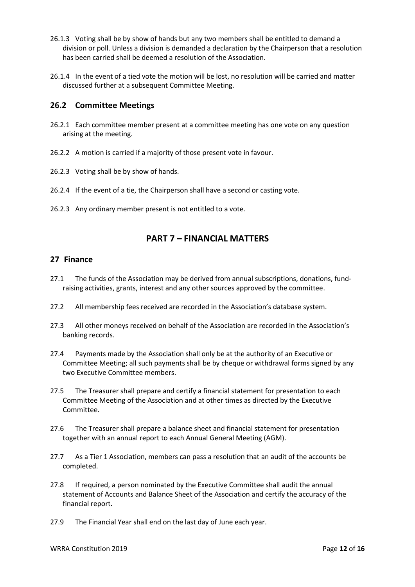- 26.1.3 Voting shall be by show of hands but any two members shall be entitled to demand a division or poll. Unless a division is demanded a declaration by the Chairperson that a resolution has been carried shall be deemed a resolution of the Association.
- 26.1.4 In the event of a tied vote the motion will be lost, no resolution will be carried and matter discussed further at a subsequent Committee Meeting.

## **26.2 Committee Meetings**

- 26.2.1 Each committee member present at a committee meeting has one vote on any question arising at the meeting.
- 26.2.2 A motion is carried if a majority of those present vote in favour.
- 26.2.3 Voting shall be by show of hands.
- 26.2.4 If the event of a tie, the Chairperson shall have a second or casting vote.
- 26.2.3 Any ordinary member present is not entitled to a vote.

# **PART 7 – FINANCIAL MATTERS**

#### **27 Finance**

- 27.1 The funds of the Association may be derived from annual subscriptions, donations, fundraising activities, grants, interest and any other sources approved by the committee.
- 27.2 All membership fees received are recorded in the Association's database system.
- 27.3 All other moneys received on behalf of the Association are recorded in the Association's banking records.
- 27.4 Payments made by the Association shall only be at the authority of an Executive or Committee Meeting; all such payments shall be by cheque or withdrawal forms signed by any two Executive Committee members.
- 27.5 The Treasurer shall prepare and certify a financial statement for presentation to each Committee Meeting of the Association and at other times as directed by the Executive Committee.
- 27.6 The Treasurer shall prepare a balance sheet and financial statement for presentation together with an annual report to each Annual General Meeting (AGM).
- 27.7 As a Tier 1 Association, members can pass a resolution that an audit of the accounts be completed.
- 27.8 If required, a person nominated by the Executive Committee shall audit the annual statement of Accounts and Balance Sheet of the Association and certify the accuracy of the financial report.
- 27.9 The Financial Year shall end on the last day of June each year.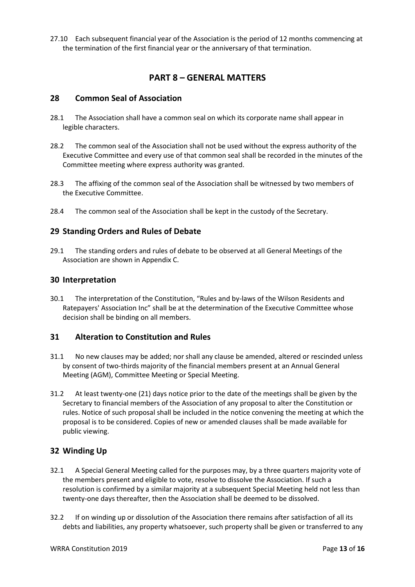27.10 Each subsequent financial year of the Association is the period of 12 months commencing at the termination of the first financial year or the anniversary of that termination.

# **PART 8 – GENERAL MATTERS**

#### **28 Common Seal of Association**

- 28.1 The Association shall have a common seal on which its corporate name shall appear in legible characters.
- 28.2 The common seal of the Association shall not be used without the express authority of the Executive Committee and every use of that common seal shall be recorded in the minutes of the Committee meeting where express authority was granted.
- 28.3 The affixing of the common seal of the Association shall be witnessed by two members of the Executive Committee.
- 28.4 The common seal of the Association shall be kept in the custody of the Secretary.

## **29 Standing Orders and Rules of Debate**

29.1 The standing orders and rules of debate to be observed at all General Meetings of the Association are shown in Appendix C.

#### **30 Interpretation**

30.1 The interpretation of the Constitution, "Rules and by-laws of the Wilson Residents and Ratepayers' Association Inc" shall be at the determination of the Executive Committee whose decision shall be binding on all members.

#### **31 Alteration to Constitution and Rules**

- 31.1 No new clauses may be added; nor shall any clause be amended, altered or rescinded unless by consent of two-thirds majority of the financial members present at an Annual General Meeting (AGM), Committee Meeting or Special Meeting.
- 31.2 At least twenty-one (21) days notice prior to the date of the meetings shall be given by the Secretary to financial members of the Association of any proposal to alter the Constitution or rules. Notice of such proposal shall be included in the notice convening the meeting at which the proposal is to be considered. Copies of new or amended clauses shall be made available for public viewing.

## **32 Winding Up**

- 32.1 A Special General Meeting called for the purposes may, by a three quarters majority vote of the members present and eligible to vote, resolve to dissolve the Association. If such a resolution is confirmed by a similar majority at a subsequent Special Meeting held not less than twenty-one days thereafter, then the Association shall be deemed to be dissolved.
- 32.2 If on winding up or dissolution of the Association there remains after satisfaction of all its debts and liabilities, any property whatsoever, such property shall be given or transferred to any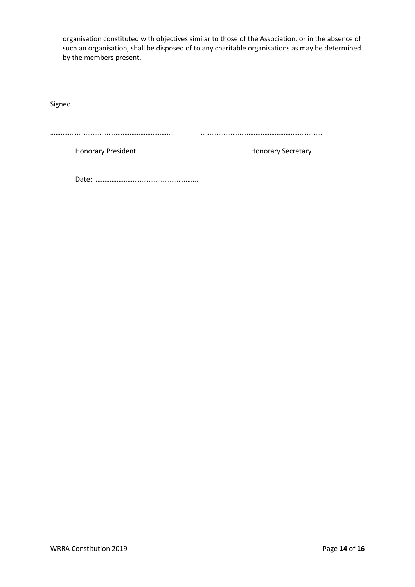organisation constituted with objectives similar to those of the Association, or in the absence of such an organisation, shall be disposed of to any charitable organisations as may be determined by the members present.

Signed

…………………………………………………………… ……………………………………………………………

Honorary President **Honorary Secretary** 

Date: ………………………………………………….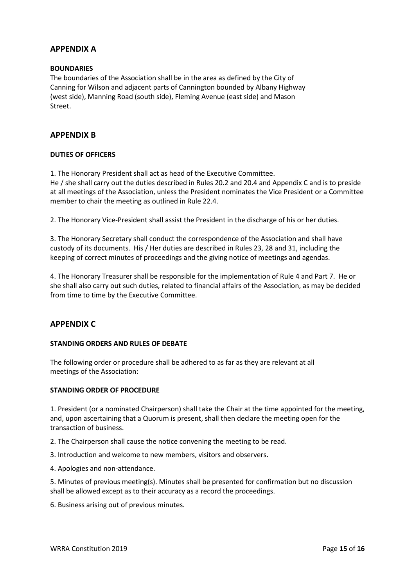## **APPENDIX A**

#### **BOUNDARIES**

The boundaries of the Association shall be in the area as defined by the City of Canning for Wilson and adjacent parts of Cannington bounded by Albany Highway (west side), Manning Road (south side), Fleming Avenue (east side) and Mason Street.

#### **APPENDIX B**

#### **DUTIES OF OFFICERS**

1. The Honorary President shall act as head of the Executive Committee. He / she shall carry out the duties described in Rules 20.2 and 20.4 and Appendix C and is to preside

at all meetings of the Association, unless the President nominates the Vice President or a Committee member to chair the meeting as outlined in Rule 22.4.

2. The Honorary Vice-President shall assist the President in the discharge of his or her duties.

3. The Honorary Secretary shall conduct the correspondence of the Association and shall have custody of its documents. His / Her duties are described in Rules 23, 28 and 31, including the keeping of correct minutes of proceedings and the giving notice of meetings and agendas.

4. The Honorary Treasurer shall be responsible for the implementation of Rule 4 and Part 7. He or she shall also carry out such duties, related to financial affairs of the Association, as may be decided from time to time by the Executive Committee.

#### **APPENDIX C**

#### **STANDING ORDERS AND RULES OF DEBATE**

The following order or procedure shall be adhered to as far as they are relevant at all meetings of the Association:

#### **STANDING ORDER OF PROCEDURE**

1. President (or a nominated Chairperson) shall take the Chair at the time appointed for the meeting, and, upon ascertaining that a Quorum is present, shall then declare the meeting open for the transaction of business.

- 2. The Chairperson shall cause the notice convening the meeting to be read.
- 3. Introduction and welcome to new members, visitors and observers.
- 4. Apologies and non-attendance.

5. Minutes of previous meeting(s). Minutes shall be presented for confirmation but no discussion shall be allowed except as to their accuracy as a record the proceedings.

6. Business arising out of previous minutes.